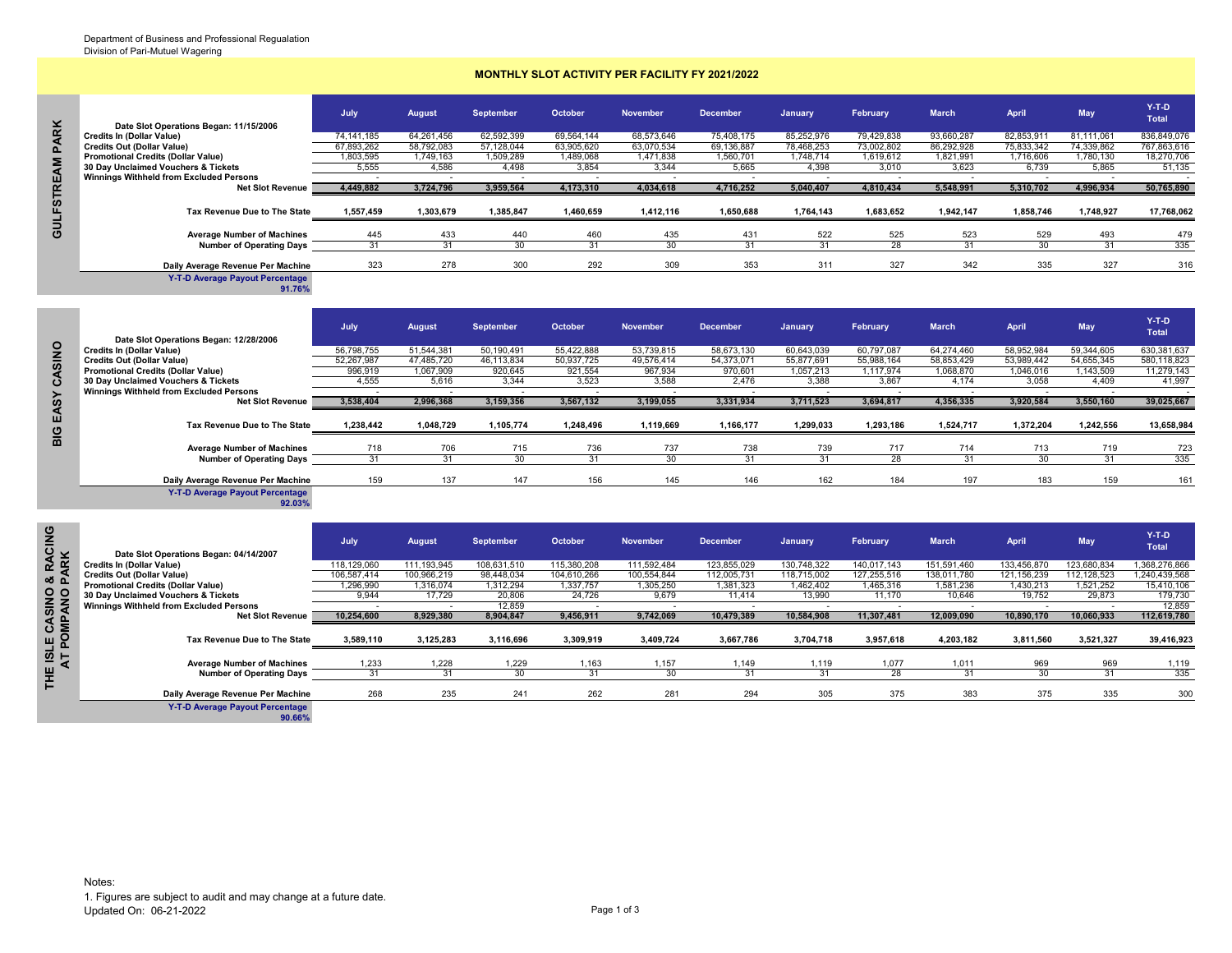## **MONTHLY SLOT ACTIVITY PER FACILITY FY 2021/2022**

| ×            |                                                                                | July                    | <b>August</b>           | <b>September</b>        | October                | <b>November</b>         | <b>December</b>         | January                 | February                | <b>March</b>            | <b>April</b>            | <b>May</b>              | $Y-T-D$<br><b>Total</b>   |
|--------------|--------------------------------------------------------------------------------|-------------------------|-------------------------|-------------------------|------------------------|-------------------------|-------------------------|-------------------------|-------------------------|-------------------------|-------------------------|-------------------------|---------------------------|
| <b>QR</b>    | Date Slot Operations Began: 11/15/2006<br><b>Credits In (Dollar Value)</b>     | 74.141.185              | 64,261,456              | 62,592,399              | 69,564,144             | 68,573,646              | 75,408,175              | 85,252,976              | 79,429,838              | 93,660,287              | 82,853,911              | 81,111,061              | 836,849,076               |
| $\mathbf{a}$ | <b>Credits Out (Dollar Value)</b><br><b>Promotional Credits (Dollar Value)</b> | 67,893,262<br>1,803,595 | 58,792,083<br>1,749,163 | 57,128,044<br>1,509,289 | 63,905,620<br>489,068. | 63,070,534<br>1,471,838 | 69,136,887<br>1,560,701 | 78,468,253<br>1,748,714 | 73,002,802<br>1,619,612 | 86,292,928<br>1,821,991 | 75,833,342<br>1,716,606 | 74,339,862<br>1,780,130 | 767,863,616<br>18,270,706 |
| ξ            | 30 Day Unclaimed Vouchers & Tickets<br>Winnings Withheld from Excluded Persons | 5.555                   | 4,586                   | 4,498                   | 3.854                  | 3,344                   | 5,665                   | 4,398                   | 3.010                   | 3,623                   | 6.739                   | 5.865                   | 51,135                    |
| <b>STRE</b>  | <b>Net Slot Revenue</b>                                                        | 4,449,882               | 3,724,796               | 3,959,564               | 4,173,310              | 4,034,618               | 4,716,252               | 5,040,407               | 4,810,434               | 5,548,991               | 5,310,702               | 4,996,934               | 50,765,890                |
| <b>GULF</b>  | Tax Revenue Due to The State                                                   | 1,557,459               | 1,303,679               | 1,385,847               | 1,460,659              | 1,412,116               | 1,650,688               | 1,764,143               | 1,683,652               | 1,942,147               | 1,858,746               | ,748,927                | 17,768,062                |
|              | <b>Average Number of Machines</b>                                              | 445                     | 433                     | 440                     | 460                    | 435                     | 431                     | 522                     | 525                     | 523                     | 529                     | 493                     | 479                       |
|              | <b>Number of Operating Days</b>                                                | 31                      |                         | 30                      |                        | 30                      | 31                      |                         | 28                      |                         | 30                      | 31                      | 335                       |
|              | Daily Average Revenue Per Machine<br><b>Y-T-D Average Payout Percentage</b>    | 323                     | 278                     | 300                     | 292                    | 309                     | 353                     | 311                     | 327                     | 342                     | 335                     | 327                     | 316                       |

|              | Date Slot Operations Began: 12/28/2006    | July       | <b>August</b> | September  | October    | <b>November</b> | <b>December</b> | <b>January</b> | February   | <b>March</b> | April      | <b>May</b> | $Y-T-D$<br><b>Total</b> |
|--------------|-------------------------------------------|------------|---------------|------------|------------|-----------------|-----------------|----------------|------------|--------------|------------|------------|-------------------------|
| SINO         | <b>Credits In (Dollar Value)</b>          | 56.798.755 | 51.544.381    | 50.190.491 | 55.422.888 | 53.739.815      | 58.673.130      | 60.643.039     | 60.797.087 | 64.274.460   | 58.952.984 | 59.344.605 |                         |
|              |                                           |            |               |            |            |                 |                 |                |            |              |            |            | 630,381,637             |
|              | <b>Credits Out (Dollar Value)</b>         | 52,267,987 | 47,485,720    | 46,113,834 | 50,937,725 | 49,576,414      | 54.373.071      | 55.877.691     | 55,988,164 | 58,853,429   | 53.989.442 | 54,655,345 | 580,118,823             |
|              | <b>Promotional Credits (Dollar Value)</b> | 996,919    | 1,067,909     | 920,645    | 921,554    | 967,934         | 970.601         | 1,057,213      | 1.117.974  | 1,068,870    | 1,046,016  | 1,143,509  | 11,279,143              |
| $\mathbf{o}$ | 30 Day Unclaimed Vouchers & Tickets       | 4.555      | 5,616         | 3,344      | 3,523      | 3,588           | 2,476           | 3,388          | 3,867      | 4,174        | 3,058      | 4.409      | 41,997                  |
|              | Winnings Withheld from Excluded Persons   |            |               |            |            |                 |                 |                |            |              |            |            |                         |
|              | <b>Net Slot Revenue</b>                   | 3,538,404  | 2,996,368     | 3,159,356  | 3,567,132  | 3,199,055       | 3,331,934       | 3,711,523      | 3,694,817  | 4,356,335    | 3,920,584  | 3,550,160  | 39,025,667              |
| EASY<br>BIG  | Tax Revenue Due to The State              | 1,238,442  | 1.048.729     | 1,105,774  | 1,248,496  | 1,119,669       | 1,166,177       | 1,299,033      | 1,293,186  | 1.524.717    | 1,372,204  | 1,242,556  | 13,658,984              |
|              | <b>Average Number of Machines</b>         | 718        | 706           | 715        | 736        | 737             | 738             | 739            | 717        | 714          | 713        | 719        | 723                     |
|              | <b>Number of Operating Days</b>           | 31         |               | 30         | 31         | 30              | 31              | 31             | 28         | 31           |            | 31         | 335                     |
|              | Daily Average Revenue Per Machine         | 159        | 137           | 147        | 156        | 145             | 146             | 162            | 184        | 197          | 183        | 159        | 161                     |

|                              | Date Slot Operations Began: 11/15/2006                                         |                                   |                          |                          |                          |                          |                                    |                          |                                    |                          |                          |                                    | i otal                       |
|------------------------------|--------------------------------------------------------------------------------|-----------------------------------|--------------------------|--------------------------|--------------------------|--------------------------|------------------------------------|--------------------------|------------------------------------|--------------------------|--------------------------|------------------------------------|------------------------------|
| <b>PARK</b>                  | <b>Credits In (Dollar Value)</b>                                               | 74, 141, 185                      | 64,261,456               | 62.592.399               | 69.564.144               | 68,573,646               | 75,408,175                         | 85,252,976               | 79,429,838                         | 93,660,287               | 82,853,911               | 81,111,061                         | 836,849,076                  |
|                              | <b>Credits Out (Dollar Value)</b>                                              | 67,893,262                        | 58,792,083               | 57,128,044               | 63,905,620               | 63,070,534               | 69,136,887                         | 78,468,253               | 73,002,802                         | 86,292,928               | 75,833,342               | 74,339,862                         | 767,863,616                  |
|                              | <b>Promotional Credits (Dollar Value)</b>                                      | 1,803,595                         | 1,749,163                | 1,509,289                | 1,489,068                | 1,471,838                | 1,560,701                          | 1,748,714                | 1,619,612                          | 1,821,991                | 1,716,606                | 1,780,130                          | 18,270,706                   |
|                              | 30 Day Unclaimed Vouchers & Tickets                                            | 5,555                             | 4,586                    | 4,498                    | 3,854                    | 3,344                    | 5,665                              | 4,398                    | 3,010                              | 3,623                    | 6,739                    | 5,865                              | 51,135                       |
|                              | <b>Winnings Withheld from Excluded Persons</b>                                 | $\overline{\phantom{a}}$          |                          | $\sim$                   |                          |                          |                                    |                          | $\sim$                             | $\overline{\phantom{a}}$ | $\overline{\phantom{a}}$ | $\sim$                             |                              |
|                              | <b>Net Slot Revenue</b>                                                        | 4,449,882                         | 3,724,796                | 3,959,564                | 4,173,310                | 4,034,618                | 4,716,252                          | 5,040,407                | 4,810,434                          | 5,548,991                | 5,310,702                | 4,996,934                          | 50,765,890                   |
| <b>GULFSTREAM</b>            | Tax Revenue Due to The State                                                   | 1,557,459                         | 1,303,679                | 1,385,847                | 1,460,659                | 1,412,116                | 1,650,688                          | 1,764,143                | 1,683,652                          | 1,942,147                | 1,858,746                | 1,748,927                          | 17,768,062                   |
|                              | <b>Average Number of Machines</b>                                              | 445                               | 433                      | 440                      | 460                      | 435                      | 431                                | 522                      | 525                                | 523                      | 529                      | 493                                | 479                          |
|                              | <b>Number of Operating Days</b>                                                | 31                                | 31                       | 30 <sup>2</sup>          | 31                       | 30 <sup>2</sup>          | 31                                 | 31                       | 28                                 | 31                       | 30 <sup>2</sup>          | 31                                 | 335                          |
|                              |                                                                                |                                   |                          |                          |                          |                          |                                    |                          |                                    |                          |                          |                                    |                              |
|                              | Daily Average Revenue Per Machine                                              | 323                               | 278                      | 300                      | 292                      | 309                      | 353                                | 311                      | 327                                | 342                      | 335                      | 327                                | 316                          |
|                              | <b>Y-T-D Average Payout Percentage</b><br>91.76%                               |                                   |                          |                          |                          |                          |                                    |                          |                                    |                          |                          |                                    |                              |
|                              |                                                                                |                                   |                          |                          |                          |                          |                                    |                          |                                    |                          |                          |                                    | Y-T-D                        |
|                              |                                                                                | <b>July</b>                       | <b>August</b>            | <b>September</b>         | October                  | <b>November</b>          | <b>December</b>                    | January                  | February                           | <b>March</b>             | April                    | <b>May</b>                         | Total                        |
|                              | Date Slot Operations Began: 12/28/2006                                         |                                   |                          |                          |                          |                          |                                    |                          |                                    |                          |                          |                                    |                              |
| CASINO                       | <b>Credits In (Dollar Value)</b><br><b>Credits Out (Dollar Value)</b>          | 56,798,755<br>52,267,987          | 51,544,381<br>47,485,720 | 50,190,491<br>46,113,834 | 55.422.888<br>50,937,725 | 53,739,815<br>49,576,414 | 58,673,130<br>54,373,071           | 60.643.039<br>55,877,691 | 60.797.087<br>55,988,164           | 64,274,460<br>58,853,429 | 58.952.984<br>53.989.442 | 59,344,605<br>54,655,345           | 630, 381, 637<br>580,118,823 |
|                              | <b>Promotional Credits (Dollar Value)</b>                                      | 996,919                           | 1,067,909                | 920,645                  | 921,554                  | 967,934                  | 970,601                            | 1,057,213                | 1,117,974                          | 1,068,870                | 1,046,016                | 1,143,509                          | 11,279,143                   |
|                              | 30 Day Unclaimed Vouchers & Tickets                                            | 4,555                             | 5,616                    | 3,344                    | 3,523                    | 3,588                    | 2,476                              | 3,388                    | 3,867                              | 4,174                    | 3,058                    | 4,409                              | 41,997                       |
|                              | Winnings Withheld from Excluded Persons                                        |                                   |                          |                          |                          |                          |                                    |                          |                                    |                          |                          |                                    |                              |
| EASY                         | <b>Net Slot Revenue</b>                                                        | 3,538,404                         | 2,996,368                | 3,159,356                | 3,567,132                | 3,199,055                | 3,331,934                          | 3,711,523                | 3,694,817                          | 4,356,335                | 3,920,584                | 3,550,160                          | 39,025,667                   |
|                              |                                                                                |                                   |                          |                          |                          |                          |                                    |                          |                                    |                          |                          |                                    |                              |
|                              |                                                                                |                                   |                          |                          |                          |                          |                                    |                          |                                    |                          |                          |                                    |                              |
|                              | Tax Revenue Due to The State                                                   | 1,238,442                         | 1,048,729                | 1,105,774                | 1,248,496                | 1,119,669                | 1,166,177                          | 1,299,033                | 1,293,186                          | 1,524,717                | 1,372,204                | 1,242,556                          | 13,658,984                   |
|                              |                                                                                |                                   |                          |                          |                          |                          |                                    |                          |                                    |                          |                          |                                    |                              |
| BIG                          | <b>Average Number of Machines</b>                                              | 718                               | 706                      | 715                      | 736                      | 737                      | 738                                | 739                      | 717                                | 714                      | 713                      | 719                                | 723                          |
|                              | <b>Number of Operating Days</b>                                                | 31                                | 31                       | 30                       | 31                       | 30                       | 31                                 | 31                       | 28                                 | 31                       | 30                       | 31                                 | 335                          |
|                              | Daily Average Revenue Per Machine                                              | 159                               | 137                      | 147                      | 156                      | 145                      | 146                                | 162                      | 184                                | 197                      | 183                      | 159                                | 161                          |
|                              | <b>Y-T-D Average Payout Percentage</b><br>92.03%                               |                                   |                          |                          |                          |                          |                                    |                          |                                    |                          |                          |                                    |                              |
|                              |                                                                                |                                   |                          |                          |                          |                          |                                    |                          |                                    |                          |                          |                                    |                              |
|                              |                                                                                | July                              | <b>August</b>            | <b>September</b>         | October                  | <b>November</b>          | <b>December</b>                    | January                  | February                           | <b>March</b>             | April                    | <b>May</b>                         | Y-T-D<br>Total               |
|                              | Date Slot Operations Began: 04/14/2007                                         |                                   |                          |                          |                          |                          |                                    |                          |                                    |                          |                          |                                    |                              |
|                              | Credits In (Dollar Value)                                                      | 118,129,060                       | 111,193,945              | 108,631,510              | 115,380,208              | 111,592,484              | 123,855,029                        | 130,748,322              | 140,017,143                        | 151,591,460              | 133,456,870              | 123,680,834                        | 1,368,276,866                |
|                              | <b>Credits Out (Dollar Value)</b>                                              | 106,587,414                       | 100,966,219              | 98,448,034               | 104,610,266              | 100,554,844              | 112,005,731                        | 118,715,002              | 127,255,516                        | 138,011,780              | 121, 156, 239            | 112,128,523                        | 1,240,439,568                |
| <b>&amp; RACING<br/>PARK</b> | <b>Promotional Credits (Dollar Value)</b>                                      | 1,296,990                         | 1,316,074                | 1,312,294                | 1,337,757                | 1,305,250                | 1,381,323                          | 1,462,402                | 1,465,316                          | 1,581,236                | 1,430,213                | 1,521,252                          | 15,410,106                   |
|                              | 30 Day Unclaimed Vouchers & Tickets<br>Winnings Withheld from Excluded Persons | 9,944<br>$\overline{\phantom{a}}$ | 17,729                   | 20,806<br>12,859         | 24,726                   | 9,679<br>$\sim$          | 11,414<br>$\overline{\phantom{a}}$ | 13,990                   | 11,170<br>$\overline{\phantom{a}}$ | 10,646<br>$\overline{a}$ | 19,752<br>$\sim$         | 29,873<br>$\overline{\phantom{a}}$ | 179,730                      |
|                              | <b>Net Slot Revenue</b>                                                        | 10,254,600                        | 8,929,380                | 8,904,847                | 9,456,911                | 9,742,069                | 10,479,389                         | 10,584,908               | 11,307,481                         | 12,009,090               | 10,890,170               | 10,060,933                         | 12,859<br>112,619,780        |
|                              | Tax Revenue Due to The State                                                   | 3,589,110                         | 3,125,283                | 3,116,696                | 3,309,919                | 3,409,724                | 3,667,786                          | 3,704,718                | 3,957,618                          | 4,203,182                | 3,811,560                | 3,521,327                          | 39,416,923                   |
| LE CASINO                    |                                                                                |                                   |                          |                          |                          |                          |                                    |                          |                                    |                          |                          |                                    |                              |
| ATPO                         | <b>Average Number of Machines</b>                                              | 1,233                             | 1,228                    | 1,229                    | 1,163                    | 1,157                    | 1,149                              | 1,119                    | 1,077                              | 1,011                    | 969                      | 969                                | 1,119                        |
|                              | <b>Number of Operating Days</b>                                                | 31                                | 31                       | 30                       | 31                       | 30                       | 31                                 | 31                       | 28                                 | 31                       | 30                       | 31                                 | 335                          |
| ÏH                           | Daily Average Revenue Per Machine                                              | 268                               | 235                      | 241                      | 262                      | 281                      | 294                                | 305                      | 375                                | 383                      | 375                      | 335                                | 300                          |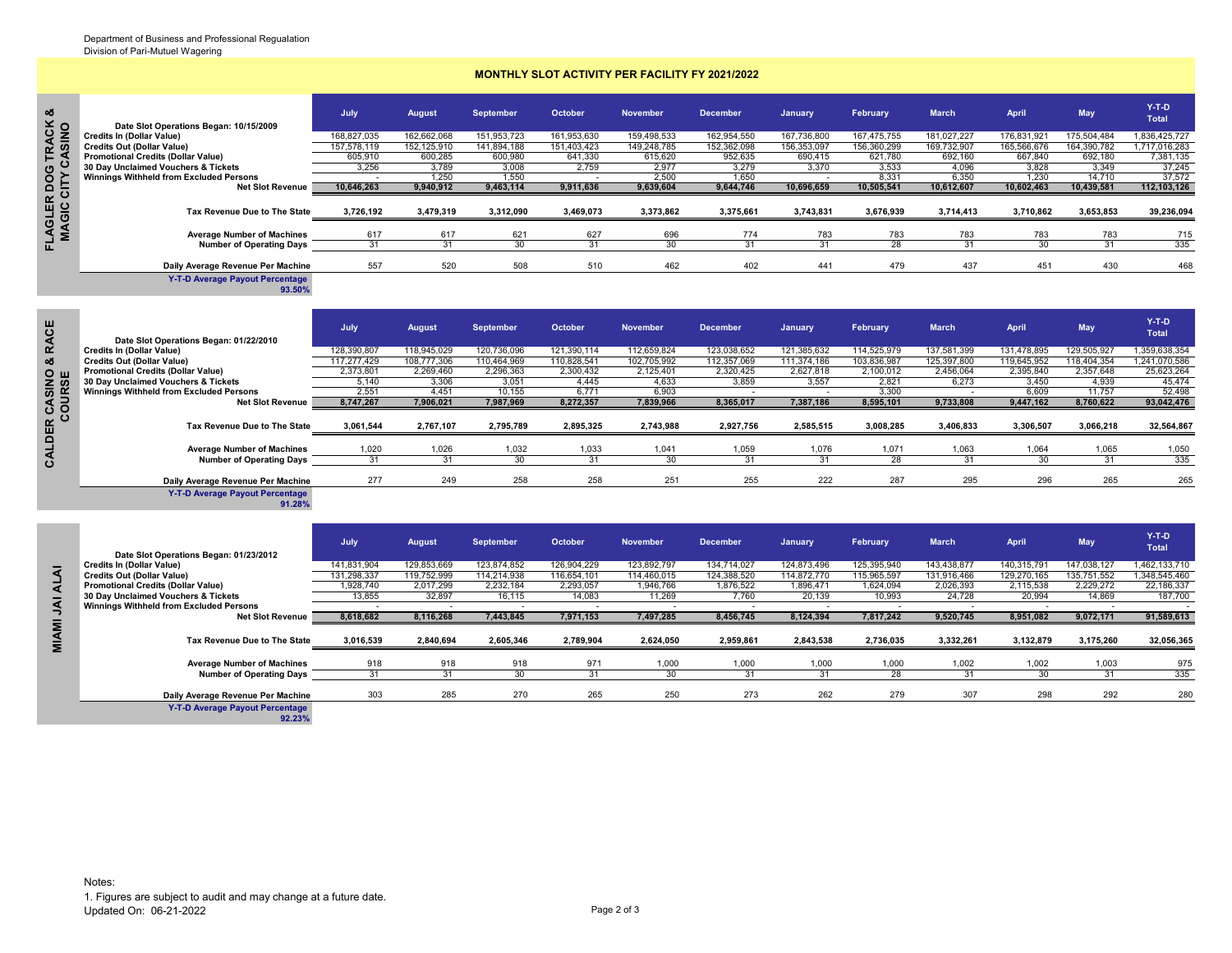## **MONTHLY SLOT ACTIVITY PER FACILITY FY 2021/2022**

| య<br>$\frac{3}{2}$ | Date Slot Operations Began: 10/15/2009         | July        | <b>August</b> | September   | October     | <b>November</b> | <b>December</b> | <b>January</b> | February    | <b>March</b> | April       | May         | $Y-T-D$<br>Total |
|--------------------|------------------------------------------------|-------------|---------------|-------------|-------------|-----------------|-----------------|----------------|-------------|--------------|-------------|-------------|------------------|
|                    | <b>Credits In (Dollar Value)</b>               | 168,827,035 | 162,662,068   | 151,953,723 | 161,953,630 | 159,498,533     | 162,954,550     | 167,736,800    | 167,475,755 | 181,027,227  | 176,831,921 | 175,504,484 | 1,836,425,727    |
| <u> នី ភ្ន</u>     | <b>Credits Out (Dollar Value)</b>              | 157.578.119 | 152.125.910   | 141.894.188 | 151.403.423 | 149.248.785     | 152.362.098     | 156.353.097    | 156.360.299 | 169.732.907  | 165.566.676 | 164.390.782 | 1,717,016,283    |
| E.                 | <b>Promotional Credits (Dollar Value)</b>      | 605,910     | 600.285       | 600.980     | 641.330     | 615.620         | 952,635         | 690.415        | 621.780     | 692.160      | 667.840     | 692.180     | 7,381,135        |
| ပ                  | 30 Day Unclaimed Vouchers & Tickets            | 3.256       | 3.789         | 3.008       | 2.759       | 2.977           | 3.279           | 3.370          | 3.533       | 4.096        | 3.828       | 3.349       | 37,245           |
|                    | <b>Winnings Withheld from Excluded Persons</b> |             | .250          | 1,550       |             | 2.500           | 1.650           |                | 8.331       | 6.350        | 1.230       | 14,710      | 37,572           |
| ğ ?                | <b>Net Slot Revenue</b>                        | 10,646,263  | 9,940,912     | 9,463,114   | 9,911,636   | 9,639,604       | 9,644,746       | 10,696,659     | 10,505,541  | 10,612,607   | 10,602,463  | 10,439,581  | 112,103,126      |
| œ<br><b>OTEL</b>   | Tax Revenue Due to The State                   | 3,726,192   | 3,479,319     | 3,312,090   | 3,469,073   | 3,373,862       | 3,375,661       | 3,743,831      | 3,676,939   | 3,714,413    | 3,710,862   | 3,653,853   | 39,236,094       |
|                    | <b>Average Number of Machines</b>              | 617         | 617<br>31     | 621         | 627         | 696<br>30       | 774<br>31       | 783            | 783         | 783<br>31    | 783<br>30   | 783         | 715              |
| 证                  | <b>Number of Operating Days</b>                |             |               |             |             |                 |                 |                | 28          |              |             | 31          | 335              |
|                    | Daily Average Revenue Per Machine              | 557         | 520           | 508         | 510         | 462             | 402             | 441            | 479         | 437          | 451         | 430         | 468              |
|                    | V T D Average Payout Percentage                |             |               |             |             |                 |                 |                |             |              |             |             |                  |

**Y-T-D Average Payout Percentage 93.50%**

| 118,945,029<br>120,736,096<br>121,390,114<br>112,659,824<br>123,038,652<br>121,385,632<br>114,525,979<br>131,478,895<br>1,359,638,354<br>128,390,807<br>137,581,399<br>129,505,927<br><b>Credits In (Dollar Value)</b><br>ఱ<br>117.277.429<br>108,777,306<br>110,464,969<br>110,828,541<br>102,705,992<br>111,374,186<br>103,836,987<br>125,397,800<br>119,645,952<br>1,241,070,586<br>112,357,069<br>118.404.354<br><b>Credits Out (Dollar Value)</b><br>2,373,801<br>2,269,460<br>2,296,363<br>2,125,401<br>2,627,818<br>2,100,012<br>2,456,064<br>2,395,840<br>2,357,648<br>25,623,264<br><b>Promotional Credits (Dollar Value)</b><br>2,300,432<br>2,320,425<br>0ш<br>6,273<br>3,306<br>3,859<br>3,557<br>3,051<br>4,633<br>2,821<br>4,939<br>45,474<br>30 Day Unclaimed Vouchers & Tickets<br>5.140<br>4,445<br>3,450<br>R CASIN<br>Winnings Withheld from Excluded Persons<br>2.551<br>4,451<br>6.771<br>3.300<br>52,498<br>10.155<br>6,903<br>6.609<br>11.757<br>7,906,021<br>7,987,969<br>8,272,357<br>7,839,966<br>8,365,017<br>7,387,186<br>9,733,808<br>8,747,267<br>8,595,101<br>9,447,162<br>8,760,622<br><b>Net Slot Revenue</b><br>CALDER<br>2,795,789<br>2,895,325<br>2,743,988<br>2,927,756<br>2,585,515<br>3,061,544<br>2,767,107<br>3,008,285<br>3,406,833<br>3,306,507<br>3,066,218<br>Tax Revenue Due to The State<br>1,026<br>1,033<br>1,059<br>1,076<br>1,020<br>1,032<br>1,041<br>1,071<br>1,063<br>1,064<br>1,065<br><b>Average Number of Machines</b><br>31<br>30<br>31<br>30<br>28<br>31<br>30<br><b>Number of Operating Days</b><br>31<br>31<br>31<br>31<br>277<br>258<br>258<br>251<br>255<br>222<br>287<br>295<br>249<br>296<br>265<br>Daily Average Revenue Per Machine<br><b>Y-T-D Average Payout Percentage</b><br>91.28%<br>$Y-T-D$<br>July<br>February<br><b>May</b><br><b>September</b><br>October<br><b>March</b><br><b>April</b><br><b>November</b><br><b>December</b><br>August<br>January,<br><b>Total</b><br>Date Slot Operations Began: 01/23/2012<br>129,853,669<br>123,874,852<br>126,904,229<br>123,892,797<br>134,714,027<br>124,873,496<br>125,395,940<br>143,438,877<br>140,315,791<br>147,038,127<br>1.462.133.710<br>141,831,904<br>Credits In (Dollar Value)<br><b>ALAI</b><br>114.872.770<br>129.270.165<br>131.298.337<br>119.752.999<br>114.214.938<br>116.654.101<br>114.460.015<br>124.388.520<br>115.965.597<br>131.916.466<br>135.751.552<br>1.348.545.460<br><b>Credits Out (Dollar Value)</b><br>2,017,299<br>2.232.184<br>1,876,522<br>2,026,393<br>22,186,337<br>2.293.057<br>1,946,766<br>1,896,471<br>1.624.094<br>2,115,538<br>2.229.272<br><b>Promotional Credits (Dollar Value)</b><br>1.928.740<br>32,897<br>30 Day Unclaimed Vouchers & Tickets<br>16,115<br>14,083<br>11,269<br>7,760<br>20,139<br>24,728<br>20,994<br>14,869<br>187,700<br>13.855<br>10,993<br>Δſ<br><b>Winnings Withheld from Excluded Persons</b><br>8,116,268<br>7,497,285<br>8,456,745<br>8,124,394<br>9,520,745<br>8,951,082<br>9,072,171<br>91,589,613<br><b>Net Slot Revenue</b><br>8,618,682<br>7,443,845<br>7,971,153<br>7,817,242<br><b>MIAMI</b><br>2,840,694<br>2,959,861<br>2,843,538<br>2,736,035<br>3,332,261<br>3,132,879<br>3,175,260<br>Tax Revenue Due to The State<br>3,016,539<br>2,605,346<br>2,789,904<br>2,624,050 | <b>RACE</b> | Date Slot Operations Began: 01/22/2010 | July | <b>August</b> | <b>September</b> | October | <b>November</b> | <b>December</b> | <b>January</b> | February | <b>March</b> | April | May | $Y-T-D$<br><b>Total</b> |
|-----------------------------------------------------------------------------------------------------------------------------------------------------------------------------------------------------------------------------------------------------------------------------------------------------------------------------------------------------------------------------------------------------------------------------------------------------------------------------------------------------------------------------------------------------------------------------------------------------------------------------------------------------------------------------------------------------------------------------------------------------------------------------------------------------------------------------------------------------------------------------------------------------------------------------------------------------------------------------------------------------------------------------------------------------------------------------------------------------------------------------------------------------------------------------------------------------------------------------------------------------------------------------------------------------------------------------------------------------------------------------------------------------------------------------------------------------------------------------------------------------------------------------------------------------------------------------------------------------------------------------------------------------------------------------------------------------------------------------------------------------------------------------------------------------------------------------------------------------------------------------------------------------------------------------------------------------------------------------------------------------------------------------------------------------------------------------------------------------------------------------------------------------------------------------------------------------------------------------------------------------------------------------------------------------------------------------------------------------------------------------------------------------------------------------------------------------------------------------------------------------------------------------------------------------------------------------------------------------------------------------------------------------------------------------------------------------------------------------------------------------------------------------------------------------------------------------------------------------------------------------------------------------------------------------------------------------------------------------------------------------------------------------------------------------------------------------------------------------------------------------------------------------------------------------------------------------------------------------------------------------------------------------------|-------------|----------------------------------------|------|---------------|------------------|---------|-----------------|-----------------|----------------|----------|--------------|-------|-----|-------------------------|
|                                                                                                                                                                                                                                                                                                                                                                                                                                                                                                                                                                                                                                                                                                                                                                                                                                                                                                                                                                                                                                                                                                                                                                                                                                                                                                                                                                                                                                                                                                                                                                                                                                                                                                                                                                                                                                                                                                                                                                                                                                                                                                                                                                                                                                                                                                                                                                                                                                                                                                                                                                                                                                                                                                                                                                                                                                                                                                                                                                                                                                                                                                                                                                                                                                                                                   |             |                                        |      |               |                  |         |                 |                 |                |          |              |       |     |                         |
|                                                                                                                                                                                                                                                                                                                                                                                                                                                                                                                                                                                                                                                                                                                                                                                                                                                                                                                                                                                                                                                                                                                                                                                                                                                                                                                                                                                                                                                                                                                                                                                                                                                                                                                                                                                                                                                                                                                                                                                                                                                                                                                                                                                                                                                                                                                                                                                                                                                                                                                                                                                                                                                                                                                                                                                                                                                                                                                                                                                                                                                                                                                                                                                                                                                                                   |             |                                        |      |               |                  |         |                 |                 |                |          |              |       |     |                         |
|                                                                                                                                                                                                                                                                                                                                                                                                                                                                                                                                                                                                                                                                                                                                                                                                                                                                                                                                                                                                                                                                                                                                                                                                                                                                                                                                                                                                                                                                                                                                                                                                                                                                                                                                                                                                                                                                                                                                                                                                                                                                                                                                                                                                                                                                                                                                                                                                                                                                                                                                                                                                                                                                                                                                                                                                                                                                                                                                                                                                                                                                                                                                                                                                                                                                                   |             |                                        |      |               |                  |         |                 |                 |                |          |              |       |     |                         |
|                                                                                                                                                                                                                                                                                                                                                                                                                                                                                                                                                                                                                                                                                                                                                                                                                                                                                                                                                                                                                                                                                                                                                                                                                                                                                                                                                                                                                                                                                                                                                                                                                                                                                                                                                                                                                                                                                                                                                                                                                                                                                                                                                                                                                                                                                                                                                                                                                                                                                                                                                                                                                                                                                                                                                                                                                                                                                                                                                                                                                                                                                                                                                                                                                                                                                   |             |                                        |      |               |                  |         |                 |                 |                |          |              |       |     |                         |
|                                                                                                                                                                                                                                                                                                                                                                                                                                                                                                                                                                                                                                                                                                                                                                                                                                                                                                                                                                                                                                                                                                                                                                                                                                                                                                                                                                                                                                                                                                                                                                                                                                                                                                                                                                                                                                                                                                                                                                                                                                                                                                                                                                                                                                                                                                                                                                                                                                                                                                                                                                                                                                                                                                                                                                                                                                                                                                                                                                                                                                                                                                                                                                                                                                                                                   |             |                                        |      |               |                  |         |                 |                 |                |          |              |       |     |                         |
|                                                                                                                                                                                                                                                                                                                                                                                                                                                                                                                                                                                                                                                                                                                                                                                                                                                                                                                                                                                                                                                                                                                                                                                                                                                                                                                                                                                                                                                                                                                                                                                                                                                                                                                                                                                                                                                                                                                                                                                                                                                                                                                                                                                                                                                                                                                                                                                                                                                                                                                                                                                                                                                                                                                                                                                                                                                                                                                                                                                                                                                                                                                                                                                                                                                                                   |             |                                        |      |               |                  |         |                 |                 |                |          |              |       |     | 93,042,476              |
|                                                                                                                                                                                                                                                                                                                                                                                                                                                                                                                                                                                                                                                                                                                                                                                                                                                                                                                                                                                                                                                                                                                                                                                                                                                                                                                                                                                                                                                                                                                                                                                                                                                                                                                                                                                                                                                                                                                                                                                                                                                                                                                                                                                                                                                                                                                                                                                                                                                                                                                                                                                                                                                                                                                                                                                                                                                                                                                                                                                                                                                                                                                                                                                                                                                                                   |             |                                        |      |               |                  |         |                 |                 |                |          |              |       |     |                         |
|                                                                                                                                                                                                                                                                                                                                                                                                                                                                                                                                                                                                                                                                                                                                                                                                                                                                                                                                                                                                                                                                                                                                                                                                                                                                                                                                                                                                                                                                                                                                                                                                                                                                                                                                                                                                                                                                                                                                                                                                                                                                                                                                                                                                                                                                                                                                                                                                                                                                                                                                                                                                                                                                                                                                                                                                                                                                                                                                                                                                                                                                                                                                                                                                                                                                                   |             |                                        |      |               |                  |         |                 |                 |                |          |              |       |     | 32,564,867              |
|                                                                                                                                                                                                                                                                                                                                                                                                                                                                                                                                                                                                                                                                                                                                                                                                                                                                                                                                                                                                                                                                                                                                                                                                                                                                                                                                                                                                                                                                                                                                                                                                                                                                                                                                                                                                                                                                                                                                                                                                                                                                                                                                                                                                                                                                                                                                                                                                                                                                                                                                                                                                                                                                                                                                                                                                                                                                                                                                                                                                                                                                                                                                                                                                                                                                                   |             |                                        |      |               |                  |         |                 |                 |                |          |              |       |     | 1,050                   |
|                                                                                                                                                                                                                                                                                                                                                                                                                                                                                                                                                                                                                                                                                                                                                                                                                                                                                                                                                                                                                                                                                                                                                                                                                                                                                                                                                                                                                                                                                                                                                                                                                                                                                                                                                                                                                                                                                                                                                                                                                                                                                                                                                                                                                                                                                                                                                                                                                                                                                                                                                                                                                                                                                                                                                                                                                                                                                                                                                                                                                                                                                                                                                                                                                                                                                   |             |                                        |      |               |                  |         |                 |                 |                |          |              |       |     | 335                     |
|                                                                                                                                                                                                                                                                                                                                                                                                                                                                                                                                                                                                                                                                                                                                                                                                                                                                                                                                                                                                                                                                                                                                                                                                                                                                                                                                                                                                                                                                                                                                                                                                                                                                                                                                                                                                                                                                                                                                                                                                                                                                                                                                                                                                                                                                                                                                                                                                                                                                                                                                                                                                                                                                                                                                                                                                                                                                                                                                                                                                                                                                                                                                                                                                                                                                                   |             |                                        |      |               |                  |         |                 |                 |                |          |              |       |     |                         |
|                                                                                                                                                                                                                                                                                                                                                                                                                                                                                                                                                                                                                                                                                                                                                                                                                                                                                                                                                                                                                                                                                                                                                                                                                                                                                                                                                                                                                                                                                                                                                                                                                                                                                                                                                                                                                                                                                                                                                                                                                                                                                                                                                                                                                                                                                                                                                                                                                                                                                                                                                                                                                                                                                                                                                                                                                                                                                                                                                                                                                                                                                                                                                                                                                                                                                   |             |                                        |      |               |                  |         |                 |                 |                |          |              |       |     | 265                     |
|                                                                                                                                                                                                                                                                                                                                                                                                                                                                                                                                                                                                                                                                                                                                                                                                                                                                                                                                                                                                                                                                                                                                                                                                                                                                                                                                                                                                                                                                                                                                                                                                                                                                                                                                                                                                                                                                                                                                                                                                                                                                                                                                                                                                                                                                                                                                                                                                                                                                                                                                                                                                                                                                                                                                                                                                                                                                                                                                                                                                                                                                                                                                                                                                                                                                                   |             |                                        |      |               |                  |         |                 |                 |                |          |              |       |     |                         |
|                                                                                                                                                                                                                                                                                                                                                                                                                                                                                                                                                                                                                                                                                                                                                                                                                                                                                                                                                                                                                                                                                                                                                                                                                                                                                                                                                                                                                                                                                                                                                                                                                                                                                                                                                                                                                                                                                                                                                                                                                                                                                                                                                                                                                                                                                                                                                                                                                                                                                                                                                                                                                                                                                                                                                                                                                                                                                                                                                                                                                                                                                                                                                                                                                                                                                   |             |                                        |      |               |                  |         |                 |                 |                |          |              |       |     |                         |
|                                                                                                                                                                                                                                                                                                                                                                                                                                                                                                                                                                                                                                                                                                                                                                                                                                                                                                                                                                                                                                                                                                                                                                                                                                                                                                                                                                                                                                                                                                                                                                                                                                                                                                                                                                                                                                                                                                                                                                                                                                                                                                                                                                                                                                                                                                                                                                                                                                                                                                                                                                                                                                                                                                                                                                                                                                                                                                                                                                                                                                                                                                                                                                                                                                                                                   |             |                                        |      |               |                  |         |                 |                 |                |          |              |       |     |                         |
|                                                                                                                                                                                                                                                                                                                                                                                                                                                                                                                                                                                                                                                                                                                                                                                                                                                                                                                                                                                                                                                                                                                                                                                                                                                                                                                                                                                                                                                                                                                                                                                                                                                                                                                                                                                                                                                                                                                                                                                                                                                                                                                                                                                                                                                                                                                                                                                                                                                                                                                                                                                                                                                                                                                                                                                                                                                                                                                                                                                                                                                                                                                                                                                                                                                                                   |             |                                        |      |               |                  |         |                 |                 |                |          |              |       |     |                         |
|                                                                                                                                                                                                                                                                                                                                                                                                                                                                                                                                                                                                                                                                                                                                                                                                                                                                                                                                                                                                                                                                                                                                                                                                                                                                                                                                                                                                                                                                                                                                                                                                                                                                                                                                                                                                                                                                                                                                                                                                                                                                                                                                                                                                                                                                                                                                                                                                                                                                                                                                                                                                                                                                                                                                                                                                                                                                                                                                                                                                                                                                                                                                                                                                                                                                                   |             |                                        |      |               |                  |         |                 |                 |                |          |              |       |     |                         |
|                                                                                                                                                                                                                                                                                                                                                                                                                                                                                                                                                                                                                                                                                                                                                                                                                                                                                                                                                                                                                                                                                                                                                                                                                                                                                                                                                                                                                                                                                                                                                                                                                                                                                                                                                                                                                                                                                                                                                                                                                                                                                                                                                                                                                                                                                                                                                                                                                                                                                                                                                                                                                                                                                                                                                                                                                                                                                                                                                                                                                                                                                                                                                                                                                                                                                   |             |                                        |      |               |                  |         |                 |                 |                |          |              |       |     |                         |
|                                                                                                                                                                                                                                                                                                                                                                                                                                                                                                                                                                                                                                                                                                                                                                                                                                                                                                                                                                                                                                                                                                                                                                                                                                                                                                                                                                                                                                                                                                                                                                                                                                                                                                                                                                                                                                                                                                                                                                                                                                                                                                                                                                                                                                                                                                                                                                                                                                                                                                                                                                                                                                                                                                                                                                                                                                                                                                                                                                                                                                                                                                                                                                                                                                                                                   |             |                                        |      |               |                  |         |                 |                 |                |          |              |       |     |                         |
|                                                                                                                                                                                                                                                                                                                                                                                                                                                                                                                                                                                                                                                                                                                                                                                                                                                                                                                                                                                                                                                                                                                                                                                                                                                                                                                                                                                                                                                                                                                                                                                                                                                                                                                                                                                                                                                                                                                                                                                                                                                                                                                                                                                                                                                                                                                                                                                                                                                                                                                                                                                                                                                                                                                                                                                                                                                                                                                                                                                                                                                                                                                                                                                                                                                                                   |             |                                        |      |               |                  |         |                 |                 |                |          |              |       |     |                         |
|                                                                                                                                                                                                                                                                                                                                                                                                                                                                                                                                                                                                                                                                                                                                                                                                                                                                                                                                                                                                                                                                                                                                                                                                                                                                                                                                                                                                                                                                                                                                                                                                                                                                                                                                                                                                                                                                                                                                                                                                                                                                                                                                                                                                                                                                                                                                                                                                                                                                                                                                                                                                                                                                                                                                                                                                                                                                                                                                                                                                                                                                                                                                                                                                                                                                                   |             |                                        |      |               |                  |         |                 |                 |                |          |              |       |     |                         |
|                                                                                                                                                                                                                                                                                                                                                                                                                                                                                                                                                                                                                                                                                                                                                                                                                                                                                                                                                                                                                                                                                                                                                                                                                                                                                                                                                                                                                                                                                                                                                                                                                                                                                                                                                                                                                                                                                                                                                                                                                                                                                                                                                                                                                                                                                                                                                                                                                                                                                                                                                                                                                                                                                                                                                                                                                                                                                                                                                                                                                                                                                                                                                                                                                                                                                   |             |                                        |      |               |                  |         |                 |                 |                |          |              |       |     |                         |
|                                                                                                                                                                                                                                                                                                                                                                                                                                                                                                                                                                                                                                                                                                                                                                                                                                                                                                                                                                                                                                                                                                                                                                                                                                                                                                                                                                                                                                                                                                                                                                                                                                                                                                                                                                                                                                                                                                                                                                                                                                                                                                                                                                                                                                                                                                                                                                                                                                                                                                                                                                                                                                                                                                                                                                                                                                                                                                                                                                                                                                                                                                                                                                                                                                                                                   |             |                                        |      |               |                  |         |                 |                 |                |          |              |       |     | 32,056,365              |

|                |                                                                            | July        | August      | <b>September</b> | October     | <b>November</b> | <b>December</b> | January     | February    | March       | April       | <b>May</b>  | $Y-T-D$<br><b>Total</b> |
|----------------|----------------------------------------------------------------------------|-------------|-------------|------------------|-------------|-----------------|-----------------|-------------|-------------|-------------|-------------|-------------|-------------------------|
|                | Date Slot Operations Began: 01/23/2012<br><b>Credits In (Dollar Value)</b> | 141,831,904 | 129,853,669 | 123,874,852      | 126,904,229 | 123,892,797     | 134.714.027     | 124,873,496 | 125,395,940 | 143,438,877 | 140,315,791 | 147,038,127 | 1,462,133,710           |
| $\overline{a}$ | <b>Credits Out (Dollar Value)</b>                                          | 131.298.337 | 119,752,999 | 114,214,938      | 116,654,101 | 114,460,015     | 124,388,520     | 114.872.770 | 115,965,597 | 131,916,466 | 129,270,165 | 135,751,552 | 1,348,545,460           |
| ◀              | <b>Promotional Credits (Dollar Value)</b>                                  | 1,928,740   | 2,017,299   | 2,232,184        | 2,293,057   | 1,946,766       | 1,876,522       | 1,896,471   | 1,624,094   | 2,026,393   | 2,115,538   | 2,229,272   | 22,186,337              |
|                | 30 Day Unclaimed Vouchers & Tickets                                        | 13,855      | 32,897      | 16,115           | 14,083      | 11,269          | 7,760           | 20,139      | 10,993      | 24,728      | 20,994      | 14,869      | 187,700                 |
|                | Winnings Withheld from Excluded Persons                                    |             |             |                  |             |                 |                 |             |             |             |             |             |                         |
|                | <b>Net Slot Revenue</b>                                                    | 8,618,682   | 8,116,268   | 7,443,845        | 7,971,153   | 7,497,285       | 8,456,745       | 8,124,394   | 7,817,242   | 9,520,745   | 8,951,082   | 9,072,171   | 91,589,613              |
| Σ<br>₹         | Tax Revenue Due to The State                                               | 3,016,539   | 2,840,694   | 2,605,346        | 2,789,904   | 2,624,050       | 2,959,861       | 2,843,538   | 2,736,035   | 3,332,261   | 3,132,879   | 3,175,260   | 32,056,365              |
|                | <b>Average Number of Machines</b>                                          | 918         | 918         | 918              | 971         | 1,000           | 1.000           | 1,000       | 1.000       | 1.002       | 1.002       | 1.003       | 975                     |
|                | <b>Number of Operating Days</b>                                            | 31          | 31          | 30               | 31          | 30              | 31              | 31          | 28          | 31          | 30          | 31          | 335                     |
|                | Daily Average Revenue Per Machine                                          | 303         | 285         | 270              | 265         | 250             | 273             | 262         | 279         | 307         | 298         | 292         | 280                     |
|                | <b>Y-T-D Average Payout Percentage</b>                                     |             |             |                  |             |                 |                 |             |             |             |             |             |                         |

**92.23%**